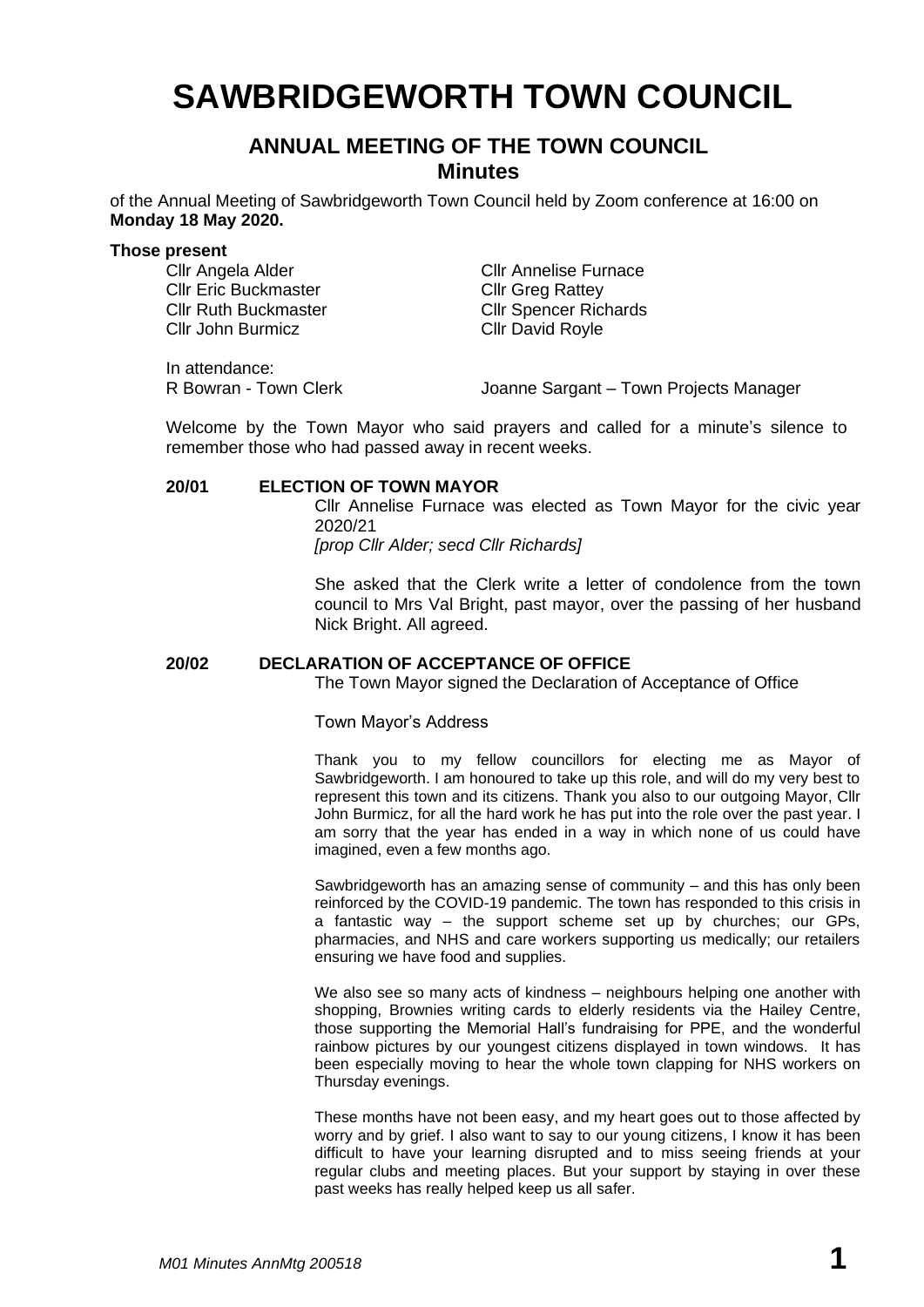# **SAWBRIDGEWORTH TOWN COUNCIL**

## **ANNUAL MEETING OF THE TOWN COUNCIL Minutes**

of the Annual Meeting of Sawbridgeworth Town Council held by Zoom conference at 16:00 on **Monday 18 May 2020.**

**Those present**<br>Cllr Angela Alder Cllr Eric Buckmaster Cllr Greg Rattey Cllr John Burmicz Cllr David Royle

Cllr Annelise Furnace Cllr Ruth Buckmaster Cllr Spencer Richards

In attendance:

R Bowran - Town Clerk Joanne Sargant – Town Projects Manager

Welcome by the Town Mayor who said prayers and called for a minute's silence to remember those who had passed away in recent weeks.

#### **20/01 ELECTION OF TOWN MAYOR**

Cllr Annelise Furnace was elected as Town Mayor for the civic year 2020/21 *[prop Cllr Alder; secd Cllr Richards]*

She asked that the Clerk write a letter of condolence from the town council to Mrs Val Bright, past mayor, over the passing of her husband Nick Bright. All agreed.

#### **20/02 DECLARATION OF ACCEPTANCE OF OFFICE**

The Town Mayor signed the Declaration of Acceptance of Office

#### Town Mayor's Address

Thank you to my fellow councillors for electing me as Mayor of Sawbridgeworth. I am honoured to take up this role, and will do my very best to represent this town and its citizens. Thank you also to our outgoing Mayor, Cllr John Burmicz, for all the hard work he has put into the role over the past year. I am sorry that the year has ended in a way in which none of us could have imagined, even a few months ago.

Sawbridgeworth has an amazing sense of community – and this has only been reinforced by the COVID-19 pandemic. The town has responded to this crisis in a fantastic way – the support scheme set up by churches; our GPs, pharmacies, and NHS and care workers supporting us medically; our retailers ensuring we have food and supplies.

We also see so many acts of kindness – neighbours helping one another with shopping, Brownies writing cards to elderly residents via the Hailey Centre, those supporting the Memorial Hall's fundraising for PPE, and the wonderful rainbow pictures by our youngest citizens displayed in town windows. It has been especially moving to hear the whole town clapping for NHS workers on Thursday evenings.

These months have not been easy, and my heart goes out to those affected by worry and by grief. I also want to say to our young citizens, I know it has been difficult to have your learning disrupted and to miss seeing friends at your regular clubs and meeting places. But your support by staying in over these past weeks has really helped keep us all safer.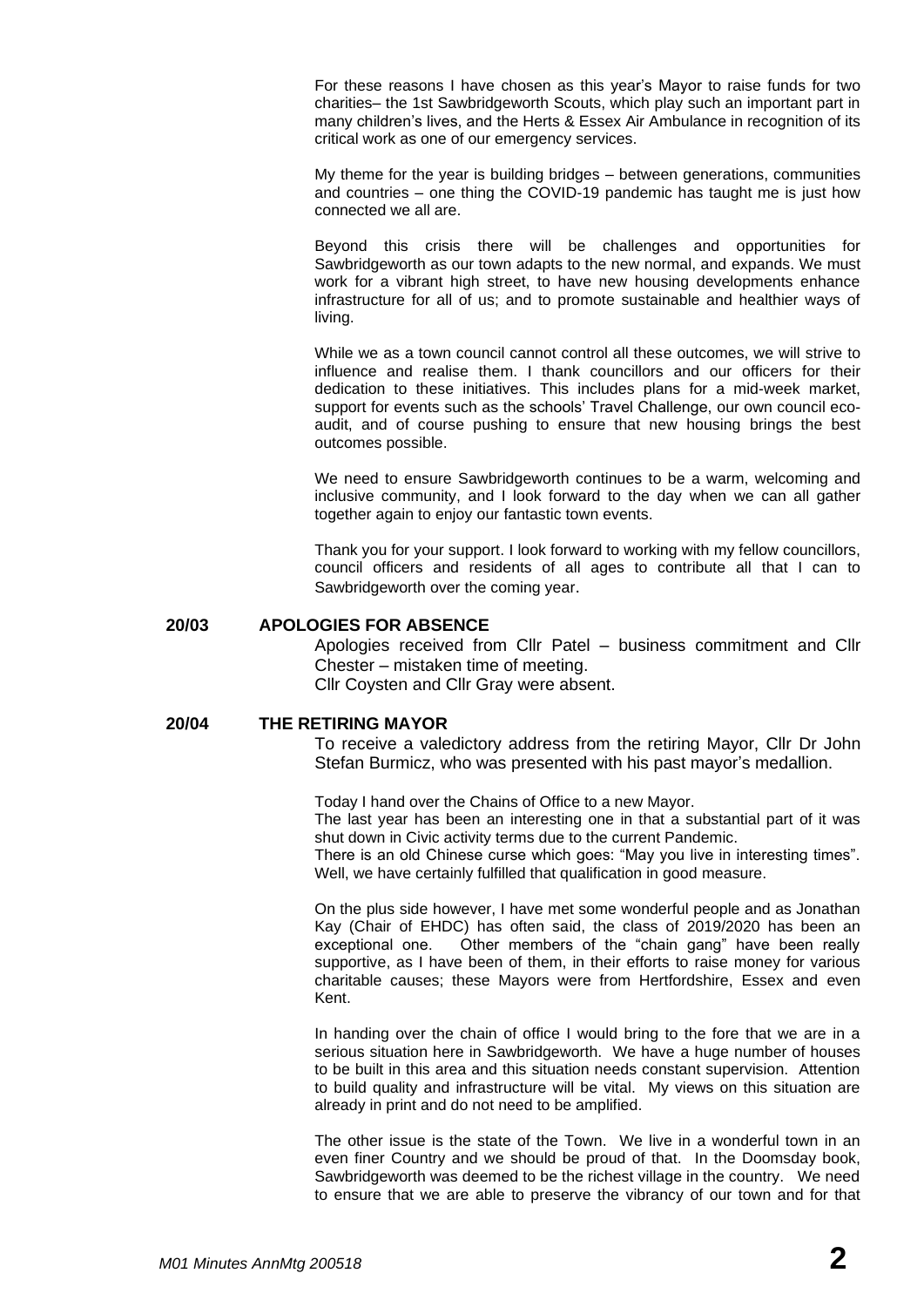For these reasons I have chosen as this year's Mayor to raise funds for two charities– the 1st Sawbridgeworth Scouts, which play such an important part in many children's lives, and the Herts & Essex Air Ambulance in recognition of its critical work as one of our emergency services.

My theme for the year is building bridges – between generations, communities and countries – one thing the COVID-19 pandemic has taught me is just how connected we all are.

Beyond this crisis there will be challenges and opportunities for Sawbridgeworth as our town adapts to the new normal, and expands. We must work for a vibrant high street, to have new housing developments enhance infrastructure for all of us; and to promote sustainable and healthier ways of living.

While we as a town council cannot control all these outcomes, we will strive to influence and realise them. I thank councillors and our officers for their dedication to these initiatives. This includes plans for a mid-week market, support for events such as the schools' Travel Challenge, our own council ecoaudit, and of course pushing to ensure that new housing brings the best outcomes possible.

We need to ensure Sawbridgeworth continues to be a warm, welcoming and inclusive community, and I look forward to the day when we can all gather together again to enjoy our fantastic town events.

Thank you for your support. I look forward to working with my fellow councillors, council officers and residents of all ages to contribute all that I can to Sawbridgeworth over the coming year.

#### **20/03 APOLOGIES FOR ABSENCE**

Apologies received from Cllr Patel – business commitment and Cllr Chester – mistaken time of meeting. Cllr Coysten and Cllr Gray were absent.

#### **20/04 THE RETIRING MAYOR**

To receive a valedictory address from the retiring Mayor, Cllr Dr John Stefan Burmicz, who was presented with his past mayor's medallion.

Today I hand over the Chains of Office to a new Mayor. The last year has been an interesting one in that a substantial part of it was shut down in Civic activity terms due to the current Pandemic.

There is an old Chinese curse which goes: "May you live in interesting times". Well, we have certainly fulfilled that qualification in good measure.

On the plus side however, I have met some wonderful people and as Jonathan Kay (Chair of EHDC) has often said, the class of 2019/2020 has been an exceptional one. Other members of the "chain gang" have been really supportive, as I have been of them, in their efforts to raise money for various charitable causes; these Mayors were from Hertfordshire, Essex and even Kent.

In handing over the chain of office I would bring to the fore that we are in a serious situation here in Sawbridgeworth. We have a huge number of houses to be built in this area and this situation needs constant supervision. Attention to build quality and infrastructure will be vital. My views on this situation are already in print and do not need to be amplified.

The other issue is the state of the Town. We live in a wonderful town in an even finer Country and we should be proud of that. In the Doomsday book, Sawbridgeworth was deemed to be the richest village in the country. We need to ensure that we are able to preserve the vibrancy of our town and for that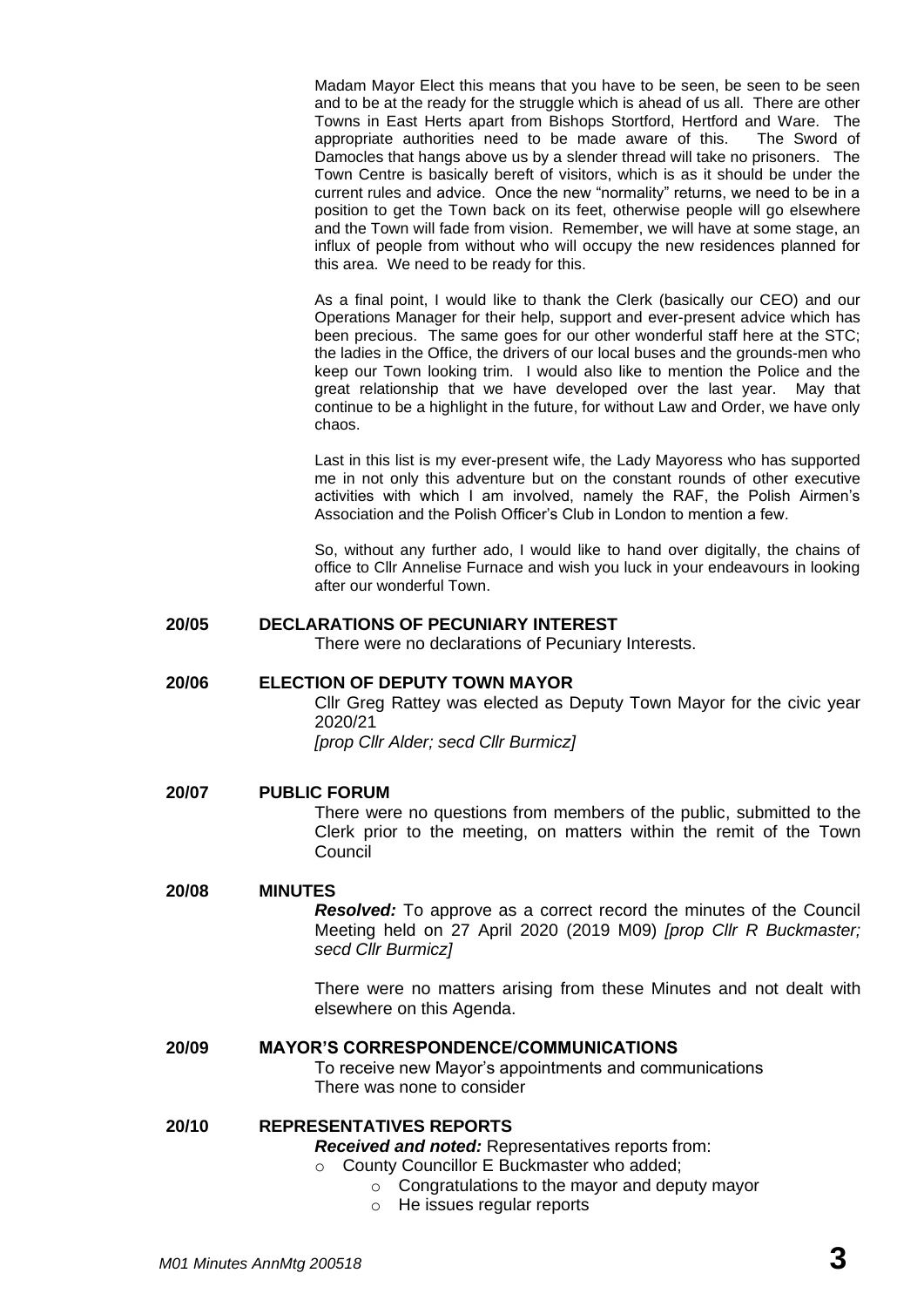Madam Mayor Elect this means that you have to be seen, be seen to be seen and to be at the ready for the struggle which is ahead of us all. There are other Towns in East Herts apart from Bishops Stortford, Hertford and Ware. The appropriate authorities need to be made aware of this. The Sword of Damocles that hangs above us by a slender thread will take no prisoners. The Town Centre is basically bereft of visitors, which is as it should be under the current rules and advice. Once the new "normality" returns, we need to be in a position to get the Town back on its feet, otherwise people will go elsewhere and the Town will fade from vision. Remember, we will have at some stage, an influx of people from without who will occupy the new residences planned for this area. We need to be ready for this.

As a final point, I would like to thank the Clerk (basically our CEO) and our Operations Manager for their help, support and ever-present advice which has been precious. The same goes for our other wonderful staff here at the STC; the ladies in the Office, the drivers of our local buses and the grounds-men who keep our Town looking trim. I would also like to mention the Police and the great relationship that we have developed over the last year. May that continue to be a highlight in the future, for without Law and Order, we have only chaos.

Last in this list is my ever-present wife, the Lady Mayoress who has supported me in not only this adventure but on the constant rounds of other executive activities with which I am involved, namely the RAF, the Polish Airmen's Association and the Polish Officer's Club in London to mention a few.

So, without any further ado, I would like to hand over digitally, the chains of office to Cllr Annelise Furnace and wish you luck in your endeavours in looking after our wonderful Town.

#### **20/05 DECLARATIONS OF PECUNIARY INTEREST**

There were no declarations of Pecuniary Interests.

#### **20/06 ELECTION OF DEPUTY TOWN MAYOR**

Cllr Greg Rattey was elected as Deputy Town Mayor for the civic year 2020/21

*[prop Cllr Alder; secd Cllr Burmicz]*

#### **20/07 PUBLIC FORUM**

There were no questions from members of the public, submitted to the Clerk prior to the meeting, on matters within the remit of the Town **Council** 

#### **20/08 MINUTES**

*Resolved:* To approve as a correct record the minutes of the Council Meeting held on 27 April 2020 (2019 M09) *[prop Cllr R Buckmaster; secd Cllr Burmicz]*

There were no matters arising from these Minutes and not dealt with elsewhere on this Agenda.

#### **20/09 MAYOR'S CORRESPONDENCE/COMMUNICATIONS**

To receive new Mayor's appointments and communications There was none to consider

#### **20/10 REPRESENTATIVES REPORTS**

*Received and noted:* Representatives reports from:

- County Councillor E Buckmaster who added;
	- o Congratulations to the mayor and deputy mayor
	- o He issues regular reports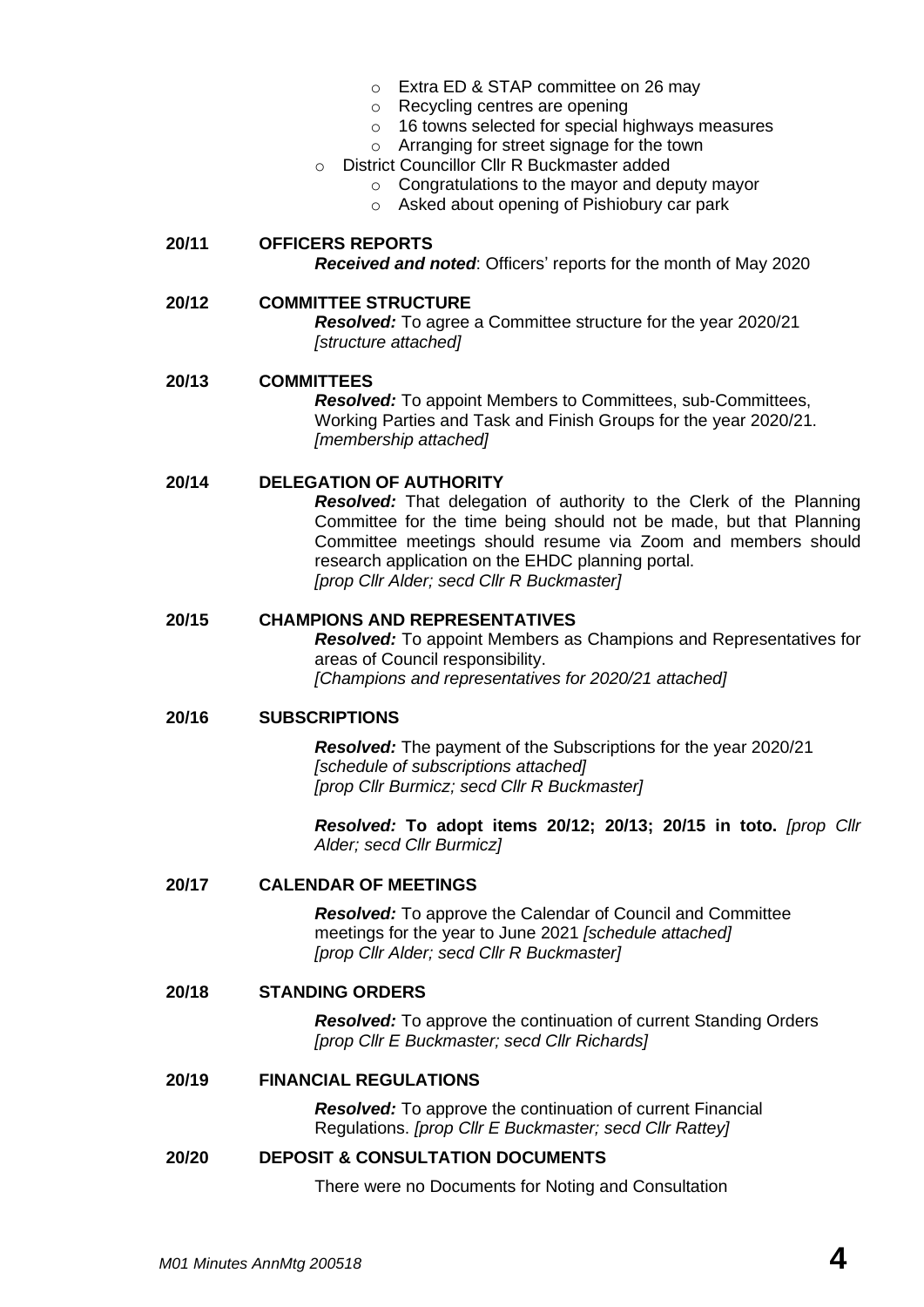- o Extra ED & STAP committee on 26 may
- o Recycling centres are opening
- o 16 towns selected for special highways measures
- o Arranging for street signage for the town
- o District Councillor Cllr R Buckmaster added
	- o Congratulations to the mayor and deputy mayor
	- o Asked about opening of Pishiobury car park

# **20/11 OFFICERS REPORTS**

*Received and noted*: Officers' reports for the month of May 2020

#### **20/12 COMMITTEE STRUCTURE**

*Resolved:* To agree a Committee structure for the year 2020/21 *[structure attached]*

#### **20/13 COMMITTEES**

*Resolved:* To appoint Members to Committees, sub-Committees, Working Parties and Task and Finish Groups for the year 2020/21. *[membership attached]*

#### **20/14 DELEGATION OF AUTHORITY**

*Resolved:* That delegation of authority to the Clerk of the Planning Committee for the time being should not be made, but that Planning Committee meetings should resume via Zoom and members should research application on the EHDC planning portal. *[prop Cllr Alder; secd Cllr R Buckmaster]*

#### **20/15 CHAMPIONS AND REPRESENTATIVES**

*Resolved:* To appoint Members as Champions and Representatives for areas of Council responsibility. *[Champions and representatives for 2020/21 attached]*

#### **20/16 SUBSCRIPTIONS**

*Resolved:* The payment of the Subscriptions for the year 2020/21 *[schedule of subscriptions attached] [prop Cllr Burmicz; secd Cllr R Buckmaster]*

*Resolved:* **To adopt items 20/12; 20/13; 20/15 in toto.** *[prop Cllr Alder; secd Cllr Burmicz]*

#### **20/17 CALENDAR OF MEETINGS**

*Resolved:* To approve the Calendar of Council and Committee meetings for the year to June 2021 *[schedule attached] [prop Cllr Alder; secd Cllr R Buckmaster]*

#### **20/18 STANDING ORDERS**

*Resolved:* To approve the continuation of current Standing Orders *[prop Cllr E Buckmaster; secd Cllr Richards]*

#### **20/19 FINANCIAL REGULATIONS**

*Resolved:* To approve the continuation of current Financial Regulations. *[prop Cllr E Buckmaster; secd Cllr Rattey]*

#### **20/20 DEPOSIT & CONSULTATION DOCUMENTS**

There were no Documents for Noting and Consultation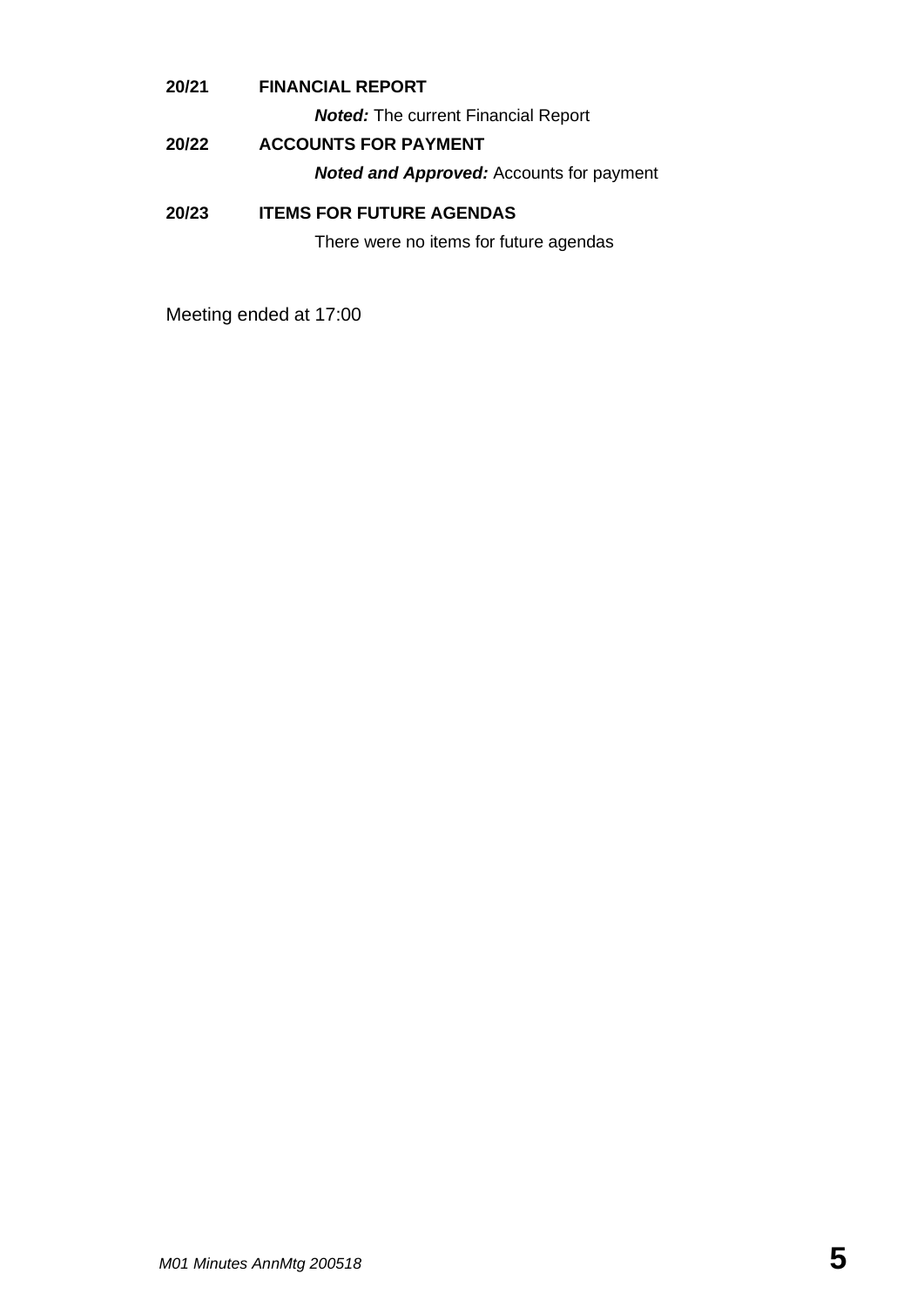#### **20/21 FINANCIAL REPORT**

*Noted:* The current Financial Report

### **20/22 ACCOUNTS FOR PAYMENT**

*Noted and Approved:* Accounts for payment

#### **20/23 ITEMS FOR FUTURE AGENDAS**

There were no items for future agendas

Meeting ended at 17:00